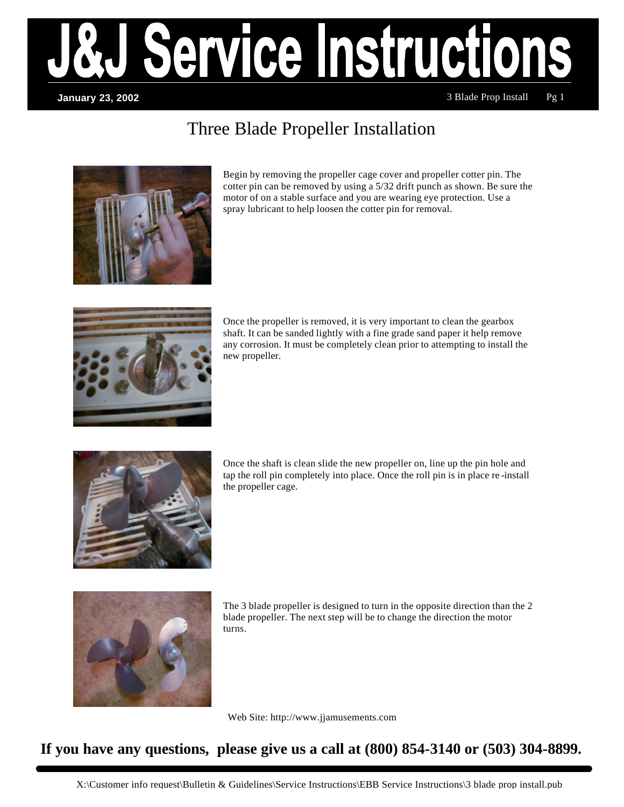

### **January 23, 2002**

3 Blade Prop Install Pg 1

# Three Blade Propeller Installation



Begin by removing the propeller cage cover and propeller cotter pin. The cotter pin can be removed by using a 5/32 drift punch as shown. Be sure the motor of on a stable surface and you are wearing eye protection. Use a spray lubricant to help loosen the cotter pin for removal.



Once the propeller is removed, it is very important to clean the gearbox shaft. It can be sanded lightly with a fine grade sand paper it help remove any corrosion. It must be completely clean prior to attempting to install the new propeller.



Once the shaft is clean slide the new propeller on, line up the pin hole and tap the roll pin completely into place. Once the roll pin is in place re -install the propeller cage.



The 3 blade propeller is designed to turn in the opposite direction than the 2 blade propeller. The next step will be to change the direction the motor turns.

Web Site: http://www.jjamusements.com

## **If you have any questions, please give us a call at (800) 854-3140 or (503) 304-8899.**